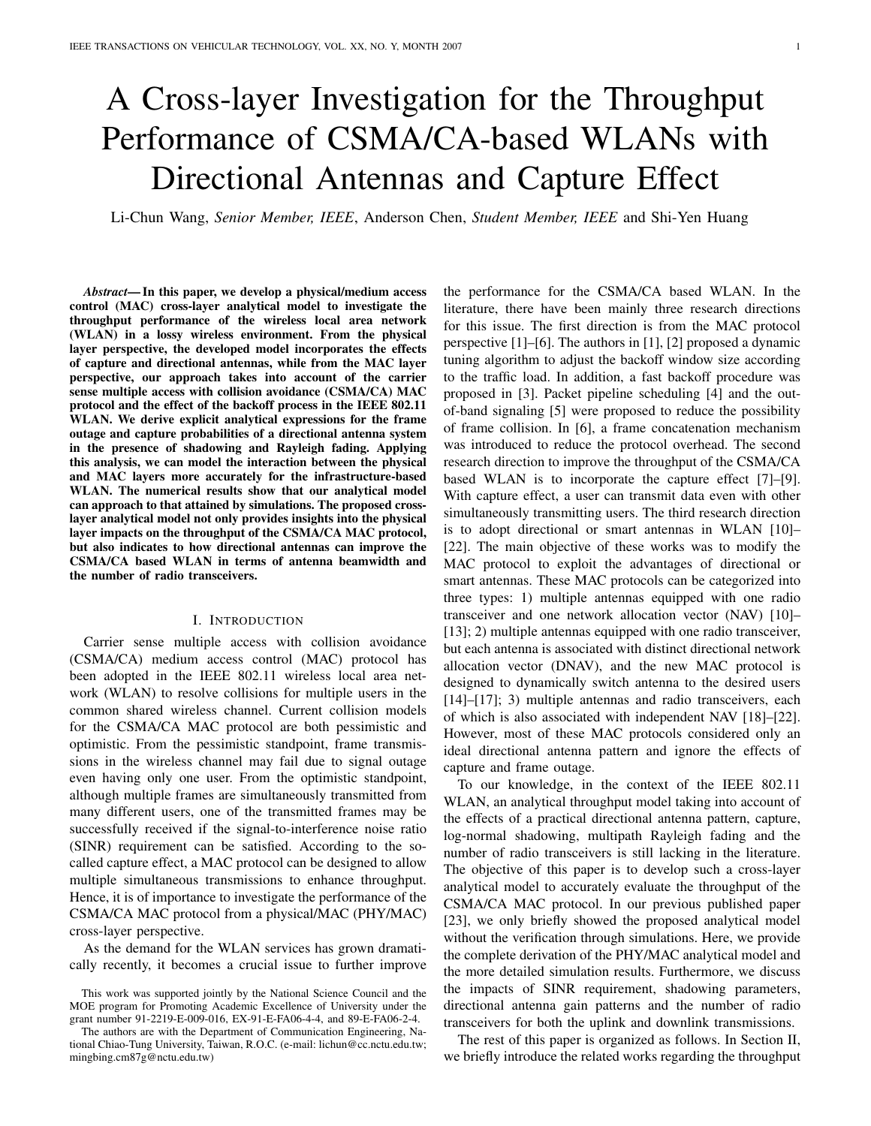# A Cross-layer Investigation for the Throughput Performance of CSMA/CA-based WLANs with Directional Antennas and Capture Effect

Li-Chun Wang, *Senior Member, IEEE*, Anderson Chen, *Student Member, IEEE* and Shi-Yen Huang

*Abstract*— In this paper, we develop a physical/medium access control (MAC) cross-layer analytical model to investigate the throughput performance of the wireless local area network (WLAN) in a lossy wireless environment. From the physical layer perspective, the developed model incorporates the effects of capture and directional antennas, while from the MAC layer perspective, our approach takes into account of the carrier sense multiple access with collision avoidance (CSMA/CA) MAC protocol and the effect of the backoff process in the IEEE 802.11 WLAN. We derive explicit analytical expressions for the frame outage and capture probabilities of a directional antenna system in the presence of shadowing and Rayleigh fading. Applying this analysis, we can model the interaction between the physical and MAC layers more accurately for the infrastructure-based WLAN. The numerical results show that our analytical model can approach to that attained by simulations. The proposed crosslayer analytical model not only provides insights into the physical layer impacts on the throughput of the CSMA/CA MAC protocol, but also indicates to how directional antennas can improve the CSMA/CA based WLAN in terms of antenna beamwidth and the number of radio transceivers.

## I. INTRODUCTION

Carrier sense multiple access with collision avoidance (CSMA/CA) medium access control (MAC) protocol has been adopted in the IEEE 802.11 wireless local area network (WLAN) to resolve collisions for multiple users in the common shared wireless channel. Current collision models for the CSMA/CA MAC protocol are both pessimistic and optimistic. From the pessimistic standpoint, frame transmissions in the wireless channel may fail due to signal outage even having only one user. From the optimistic standpoint, although multiple frames are simultaneously transmitted from many different users, one of the transmitted frames may be successfully received if the signal-to-interference noise ratio (SINR) requirement can be satisfied. According to the socalled capture effect, a MAC protocol can be designed to allow multiple simultaneous transmissions to enhance throughput. Hence, it is of importance to investigate the performance of the CSMA/CA MAC protocol from a physical/MAC (PHY/MAC) cross-layer perspective.

As the demand for the WLAN services has grown dramatically recently, it becomes a crucial issue to further improve the performance for the CSMA/CA based WLAN. In the literature, there have been mainly three research directions for this issue. The first direction is from the MAC protocol perspective [1]–[6]. The authors in [1], [2] proposed a dynamic tuning algorithm to adjust the backoff window size according to the traffic load. In addition, a fast backoff procedure was proposed in [3]. Packet pipeline scheduling [4] and the outof-band signaling [5] were proposed to reduce the possibility of frame collision. In [6], a frame concatenation mechanism was introduced to reduce the protocol overhead. The second research direction to improve the throughput of the CSMA/CA based WLAN is to incorporate the capture effect [7]–[9]. With capture effect, a user can transmit data even with other simultaneously transmitting users. The third research direction is to adopt directional or smart antennas in WLAN [10]– [22]. The main objective of these works was to modify the MAC protocol to exploit the advantages of directional or smart antennas. These MAC protocols can be categorized into three types: 1) multiple antennas equipped with one radio transceiver and one network allocation vector (NAV) [10]– [13]; 2) multiple antennas equipped with one radio transceiver, but each antenna is associated with distinct directional network allocation vector (DNAV), and the new MAC protocol is designed to dynamically switch antenna to the desired users [14]–[17]; 3) multiple antennas and radio transceivers, each of which is also associated with independent NAV [18]–[22]. However, most of these MAC protocols considered only an ideal directional antenna pattern and ignore the effects of capture and frame outage.

To our knowledge, in the context of the IEEE 802.11 WLAN, an analytical throughput model taking into account of the effects of a practical directional antenna pattern, capture, log-normal shadowing, multipath Rayleigh fading and the number of radio transceivers is still lacking in the literature. The objective of this paper is to develop such a cross-layer analytical model to accurately evaluate the throughput of the CSMA/CA MAC protocol. In our previous published paper [23], we only briefly showed the proposed analytical model without the verification through simulations. Here, we provide the complete derivation of the PHY/MAC analytical model and the more detailed simulation results. Furthermore, we discuss the impacts of SINR requirement, shadowing parameters, directional antenna gain patterns and the number of radio transceivers for both the uplink and downlink transmissions.

The rest of this paper is organized as follows. In Section II, we briefly introduce the related works regarding the throughput

This work was supported jointly by the National Science Council and the MOE program for Promoting Academic Excellence of University under the grant number 91-2219-E-009-016, EX-91-E-FA06-4-4, and 89-E-FA06-2-4.

The authors are with the Department of Communication Engineering, National Chiao-Tung University, Taiwan, R.O.C. (e-mail: lichun@cc.nctu.edu.tw; mingbing.cm87g@nctu.edu.tw)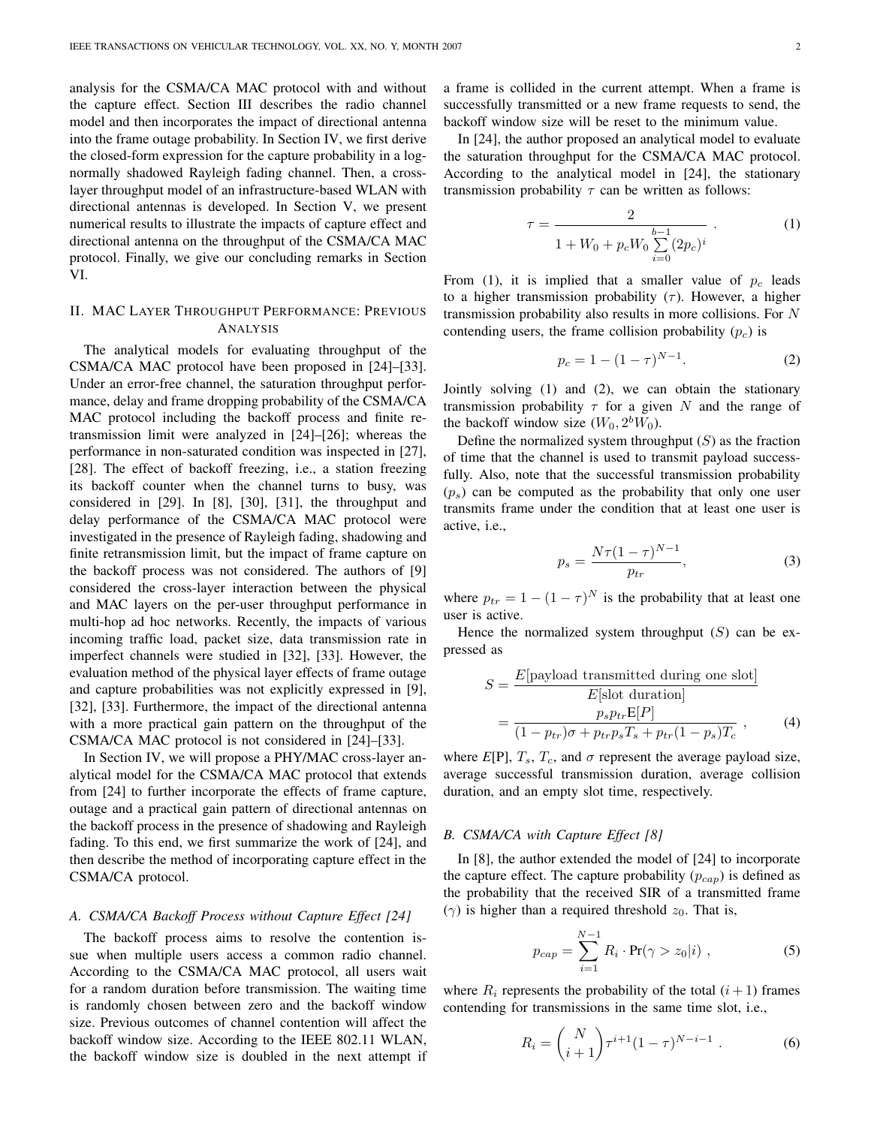analysis for the CSMA/CA MAC protocol with and without the capture effect. Section III describes the radio channel model and then incorporates the impact of directional antenna into the frame outage probability. In Section IV, we first derive the closed-form expression for the capture probability in a lognormally shadowed Rayleigh fading channel. Then, a crosslayer throughput model of an infrastructure-based WLAN with directional antennas is developed. In Section V, we present numerical results to illustrate the impacts of capture effect and directional antenna on the throughput of the CSMA/CA MAC protocol. Finally, we give our concluding remarks in Section VI.

# II. MAC LAYER THROUGHPUT PERFORMANCE: PREVIOUS ANALYSIS

The analytical models for evaluating throughput of the CSMA/CA MAC protocol have been proposed in [24]–[33]. Under an error-free channel, the saturation throughput performance, delay and frame dropping probability of the CSMA/CA MAC protocol including the backoff process and finite retransmission limit were analyzed in [24]–[26]; whereas the performance in non-saturated condition was inspected in [27], [28]. The effect of backoff freezing, i.e., a station freezing its backoff counter when the channel turns to busy, was considered in [29]. In [8], [30], [31], the throughput and delay performance of the CSMA/CA MAC protocol were investigated in the presence of Rayleigh fading, shadowing and finite retransmission limit, but the impact of frame capture on the backoff process was not considered. The authors of [9] considered the cross-layer interaction between the physical and MAC layers on the per-user throughput performance in multi-hop ad hoc networks. Recently, the impacts of various incoming traffic load, packet size, data transmission rate in imperfect channels were studied in [32], [33]. However, the evaluation method of the physical layer effects of frame outage and capture probabilities was not explicitly expressed in [9], [32], [33]. Furthermore, the impact of the directional antenna with a more practical gain pattern on the throughput of the CSMA/CA MAC protocol is not considered in [24]–[33].

In Section IV, we will propose a PHY/MAC cross-layer analytical model for the CSMA/CA MAC protocol that extends from [24] to further incorporate the effects of frame capture, outage and a practical gain pattern of directional antennas on the backoff process in the presence of shadowing and Rayleigh fading. To this end, we first summarize the work of [24], and then describe the method of incorporating capture effect in the CSMA/CA protocol.

# *A. CSMA/CA Backoff Process without Capture Effect [24]*

The backoff process aims to resolve the contention issue when multiple users access a common radio channel. According to the CSMA/CA MAC protocol, all users wait for a random duration before transmission. The waiting time is randomly chosen between zero and the backoff window size. Previous outcomes of channel contention will affect the backoff window size. According to the IEEE 802.11 WLAN, the backoff window size is doubled in the next attempt if a frame is collided in the current attempt. When a frame is successfully transmitted or a new frame requests to send, the backoff window size will be reset to the minimum value.

In [24], the author proposed an analytical model to evaluate the saturation throughput for the CSMA/CA MAC protocol. According to the analytical model in [24], the stationary transmission probability *τ* can be written as follows:

$$
\tau = \frac{2}{1 + W_0 + p_c W_0 \sum_{i=0}^{b-1} (2p_c)^i} .
$$
 (1)

From (1), it is implied that a smaller value of  $p_c$  leads to a higher transmission probability  $(\tau)$ . However, a higher transmission probability also results in more collisions. For *N* contending users, the frame collision probability  $(p_c)$  is

$$
p_c = 1 - (1 - \tau)^{N-1}.
$$
 (2)

Jointly solving (1) and (2), we can obtain the stationary transmission probability  $\tau$  for a given *N* and the range of the backoff window size  $(W_0, 2^b W_0)$ .

Define the normalized system throughput (*S*) as the fraction of time that the channel is used to transmit payload successfully. Also, note that the successful transmission probability  $(p<sub>s</sub>)$  can be computed as the probability that only one user transmits frame under the condition that at least one user is active, i.e.,

$$
p_s = \frac{N\tau (1-\tau)^{N-1}}{p_{tr}},\tag{3}
$$

where  $p_{tr} = 1 - (1 - \tau)^N$  is the probability that at least one user is active.

Hence the normalized system throughput (*S*) can be expressed as

$$
S = \frac{E[\text{payload transmitted during one slot}]}{E[\text{slot duration}]}
$$

$$
= \frac{p_s p_{tr} E[P]}{(1 - p_{tr})\sigma + p_{tr} p_s T_s + p_{tr} (1 - p_s) T_c}, \qquad (4)
$$

where  $E[P]$ ,  $T_s$ ,  $T_c$ , and  $\sigma$  represent the average payload size, average successful transmission duration, average collision duration, and an empty slot time, respectively.

## *B. CSMA/CA with Capture Effect [8]*

In [8], the author extended the model of [24] to incorporate the capture effect. The capture probability  $(p_{cap})$  is defined as the probability that the received SIR of a transmitted frame  $(\gamma)$  is higher than a required threshold  $z_0$ . That is,

$$
p_{cap} = \sum_{i=1}^{N-1} R_i \cdot \Pr(\gamma > z_0 | i) , \qquad (5)
$$

where  $R_i$  represents the probability of the total  $(i+1)$  frames contending for transmissions in the same time slot, i.e.,

$$
R_i = \binom{N}{i+1} \tau^{i+1} (1-\tau)^{N-i-1} . \tag{6}
$$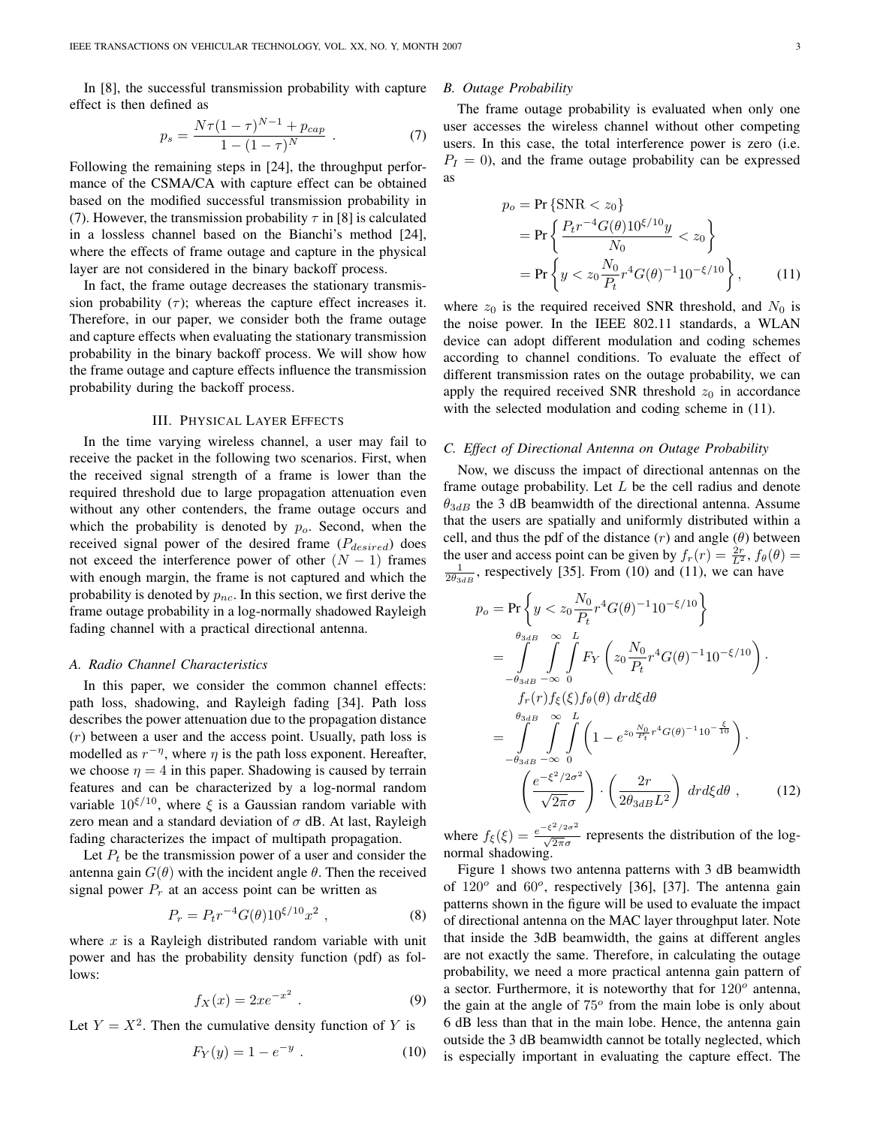In [8], the successful transmission probability with capture effect is then defined as

$$
p_s = \frac{N\tau (1-\tau)^{N-1} + p_{cap}}{1 - (1-\tau)^N} \ . \tag{7}
$$

Following the remaining steps in [24], the throughput performance of the CSMA/CA with capture effect can be obtained based on the modified successful transmission probability in (7). However, the transmission probability  $\tau$  in [8] is calculated in a lossless channel based on the Bianchi's method [24], where the effects of frame outage and capture in the physical layer are not considered in the binary backoff process.

In fact, the frame outage decreases the stationary transmission probability  $(\tau)$ ; whereas the capture effect increases it. Therefore, in our paper, we consider both the frame outage and capture effects when evaluating the stationary transmission probability in the binary backoff process. We will show how the frame outage and capture effects influence the transmission probability during the backoff process.

#### III. PHYSICAL LAYER EFFECTS

In the time varying wireless channel, a user may fail to receive the packet in the following two scenarios. First, when the received signal strength of a frame is lower than the required threshold due to large propagation attenuation even without any other contenders, the frame outage occurs and which the probability is denoted by  $p<sub>o</sub>$ . Second, when the received signal power of the desired frame (*Pdesired*) does not exceed the interference power of other  $(N - 1)$  frames with enough margin, the frame is not captured and which the probability is denoted by  $p_{nc}$ . In this section, we first derive the frame outage probability in a log-normally shadowed Rayleigh fading channel with a practical directional antenna.

## *A. Radio Channel Characteristics*

In this paper, we consider the common channel effects: path loss, shadowing, and Rayleigh fading [34]. Path loss describes the power attenuation due to the propagation distance (*r*) between a user and the access point. Usually, path loss is modelled as  $r^{-\eta}$ , where  $\eta$  is the path loss exponent. Hereafter, we choose  $\eta = 4$  in this paper. Shadowing is caused by terrain features and can be characterized by a log-normal random variable  $10^{\xi/10}$ , where  $\xi$  is a Gaussian random variable with zero mean and a standard deviation of *σ* dB. At last, Rayleigh fading characterizes the impact of multipath propagation.

Let  $P_t$  be the transmission power of a user and consider the antenna gain  $G(\theta)$  with the incident angle  $\theta$ . Then the received signal power  $P_r$  at an access point can be written as

$$
P_r = P_t r^{-4} G(\theta) 10^{\xi/10} x^2 , \qquad (8)
$$

where *x* is a Rayleigh distributed random variable with unit power and has the probability density function (pdf) as follows:

$$
f_X(x) = 2xe^{-x^2}.
$$
\n<sup>(9)</sup>

Let  $Y = X^2$ . Then the cumulative density function of *Y* is

$$
F_Y(y) = 1 - e^{-y} . \t\t(10)
$$

#### *B. Outage Probability*

The frame outage probability is evaluated when only one user accesses the wireless channel without other competing users. In this case, the total interference power is zero (i.e.  $P_I = 0$ , and the frame outage probability can be expressed as

$$
p_o = \Pr\left\{ \text{SNR} < z_0 \right\}
$$
\n
$$
= \Pr\left\{ \frac{P_t r^{-4} G(\theta) 10^{\xi/10} y}{N_0} < z_0 \right\}
$$
\n
$$
= \Pr\left\{ y < z_0 \frac{N_0}{P_t} r^4 G(\theta)^{-1} 10^{-\xi/10} \right\},\tag{11}
$$

where  $z_0$  is the required received SNR threshold, and  $N_0$  is the noise power. In the IEEE 802.11 standards, a WLAN device can adopt different modulation and coding schemes according to channel conditions. To evaluate the effect of different transmission rates on the outage probability, we can apply the required received SNR threshold  $z_0$  in accordance with the selected modulation and coding scheme in  $(11)$ .

# *C. Effect of Directional Antenna on Outage Probability*

Now, we discuss the impact of directional antennas on the frame outage probability. Let *L* be the cell radius and denote  $\theta_{3dB}$  the 3 dB beamwidth of the directional antenna. Assume that the users are spatially and uniformly distributed within a cell, and thus the pdf of the distance (*r*) and angle (*θ*) between the user and access point can be given by  $f_r(r) = \frac{2r}{L^2}$ ,  $f_\theta(\theta) =$  $\frac{1}{2\theta_{3dB}}$ , respectively [35]. From (10) and (11), we can have

$$
p_o = \Pr\left\{y < z_0 \frac{N_0}{P_t} r^4 G(\theta)^{-1} 10^{-\xi/10}\right\}
$$
\n
$$
= \int_{-\theta_{3dB}}^{\theta_{3dB}} \int_{-\infty}^{\infty} \int_{0}^{L} F_Y\left(z_0 \frac{N_0}{P_t} r^4 G(\theta)^{-1} 10^{-\xi/10}\right) \cdot
$$
\n
$$
= f_r(r) f_{\xi}(\xi) f_{\theta}(\theta) dr d\xi d\theta
$$
\n
$$
= \int_{-\theta_{3dB}}^{\theta_{3dB}} \int_{-\infty}^{\infty} \int_{0}^{L} \left(1 - e^{z_0 \frac{N_0}{P_t} r^4 G(\theta)^{-1} 10^{-\frac{\xi}{10}}}\right) \cdot
$$
\n
$$
\left(\frac{e^{-\xi^2/2\sigma^2}}{\sqrt{2\pi}\sigma}\right) \cdot \left(\frac{2r}{2\theta_{3dB}L^2}\right) dr d\xi d\theta , \qquad (12)
$$

where  $f_{\xi}(\xi) = \frac{e^{-\xi^2/2\sigma^2}}{\sqrt{2\pi}\sigma^2}$  $\frac{\sqrt{2\pi}\sigma}{\sqrt{2\pi}\sigma}$  represents the distribution of the lognormal shadowing.

Figure 1 shows two antenna patterns with 3 dB beamwidth of  $120^{\circ}$  and  $60^{\circ}$ , respectively [36], [37]. The antenna gain patterns shown in the figure will be used to evaluate the impact of directional antenna on the MAC layer throughput later. Note that inside the 3dB beamwidth, the gains at different angles are not exactly the same. Therefore, in calculating the outage probability, we need a more practical antenna gain pattern of a sector. Furthermore, it is noteworthy that for 120*<sup>o</sup>* antenna, the gain at the angle of 75*<sup>o</sup>* from the main lobe is only about 6 dB less than that in the main lobe. Hence, the antenna gain outside the 3 dB beamwidth cannot be totally neglected, which is especially important in evaluating the capture effect. The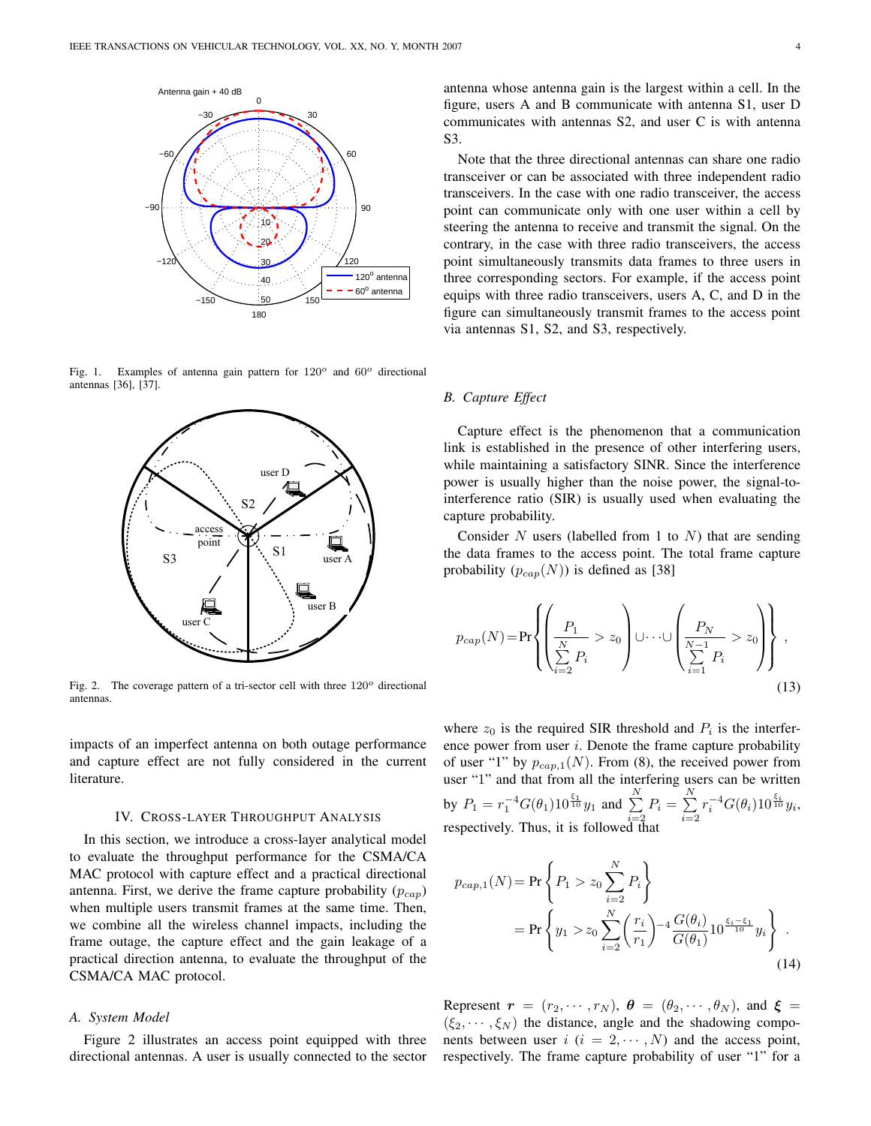

Fig. 1. Examples of antenna gain pattern for 120*<sup>o</sup>* and 60*<sup>o</sup>* directional antennas [36], [37].



Fig. 2. The coverage pattern of a tri-sector cell with three 120*<sup>o</sup>* directional antennas.

impacts of an imperfect antenna on both outage performance and capture effect are not fully considered in the current literature.

#### IV. CROSS-LAYER THROUGHPUT ANALYSIS

In this section, we introduce a cross-layer analytical model to evaluate the throughput performance for the CSMA/CA MAC protocol with capture effect and a practical directional antenna. First, we derive the frame capture probability (*pcap*) when multiple users transmit frames at the same time. Then, we combine all the wireless channel impacts, including the frame outage, the capture effect and the gain leakage of a practical direction antenna, to evaluate the throughput of the CSMA/CA MAC protocol.

## *A. System Model*

Figure 2 illustrates an access point equipped with three directional antennas. A user is usually connected to the sector antenna whose antenna gain is the largest within a cell. In the figure, users A and B communicate with antenna S1, user D communicates with antennas S2, and user C is with antenna S3.

Note that the three directional antennas can share one radio transceiver or can be associated with three independent radio transceivers. In the case with one radio transceiver, the access point can communicate only with one user within a cell by steering the antenna to receive and transmit the signal. On the contrary, in the case with three radio transceivers, the access point simultaneously transmits data frames to three users in three corresponding sectors. For example, if the access point equips with three radio transceivers, users A, C, and D in the figure can simultaneously transmit frames to the access point via antennas S1, S2, and S3, respectively.

## *B. Capture Effect*

Capture effect is the phenomenon that a communication link is established in the presence of other interfering users, while maintaining a satisfactory SINR. Since the interference power is usually higher than the noise power, the signal-tointerference ratio (SIR) is usually used when evaluating the capture probability.

Consider *N* users (labelled from 1 to *N*) that are sending the data frames to the access point. The total frame capture probability  $(p_{cap}(N))$  is defined as [38]

$$
p_{cap}(N) = \Pr\left\{ \left( \frac{P_1}{\sum\limits_{i=2}^{N} P_i} > z_0 \right) \cup \cdots \cup \left( \frac{P_N}{\sum\limits_{i=1}^{N-1} P_i} > z_0 \right) \right\},\tag{13}
$$

where  $z_0$  is the required SIR threshold and  $P_i$  is the interference power from user *i*. Denote the frame capture probability of user "1" by  $p_{cap,1}(N)$ . From (8), the received power from user "1" and that from all the interfering users can be written by  $P_1 = r_1^{-4} G(\theta_1) 10^{\frac{\xi_1}{10}} y_1$  and  $\sum_{ }^N$  $\sum_{i=2}^{N} P_i = \sum_{i=2}^{N}$ *i*=2  $r_i^{-4} G(\theta_i) 10^{\frac{\xi_i}{10}} y_i$ respectively. Thus, it is followed that

$$
p_{cap,1}(N) = \Pr\left\{P_1 > z_0 \sum_{i=2}^{N} P_i\right\}
$$
  
= 
$$
\Pr\left\{y_1 > z_0 \sum_{i=2}^{N} \left(\frac{r_i}{r_1}\right)^{-4} \frac{G(\theta_i)}{G(\theta_1)} 10^{\frac{\xi_i - \xi_1}{10}} y_i\right\}.
$$
 (14)

Represent  $\mathbf{r} = (r_2, \dots, r_N)$ ,  $\mathbf{\theta} = (\theta_2, \dots, \theta_N)$ , and  $\mathbf{\xi} =$  $(\xi_2, \dots, \xi_N)$  the distance, angle and the shadowing components between user  $i$  ( $i = 2, \dots, N$ ) and the access point, respectively. The frame capture probability of user "1" for a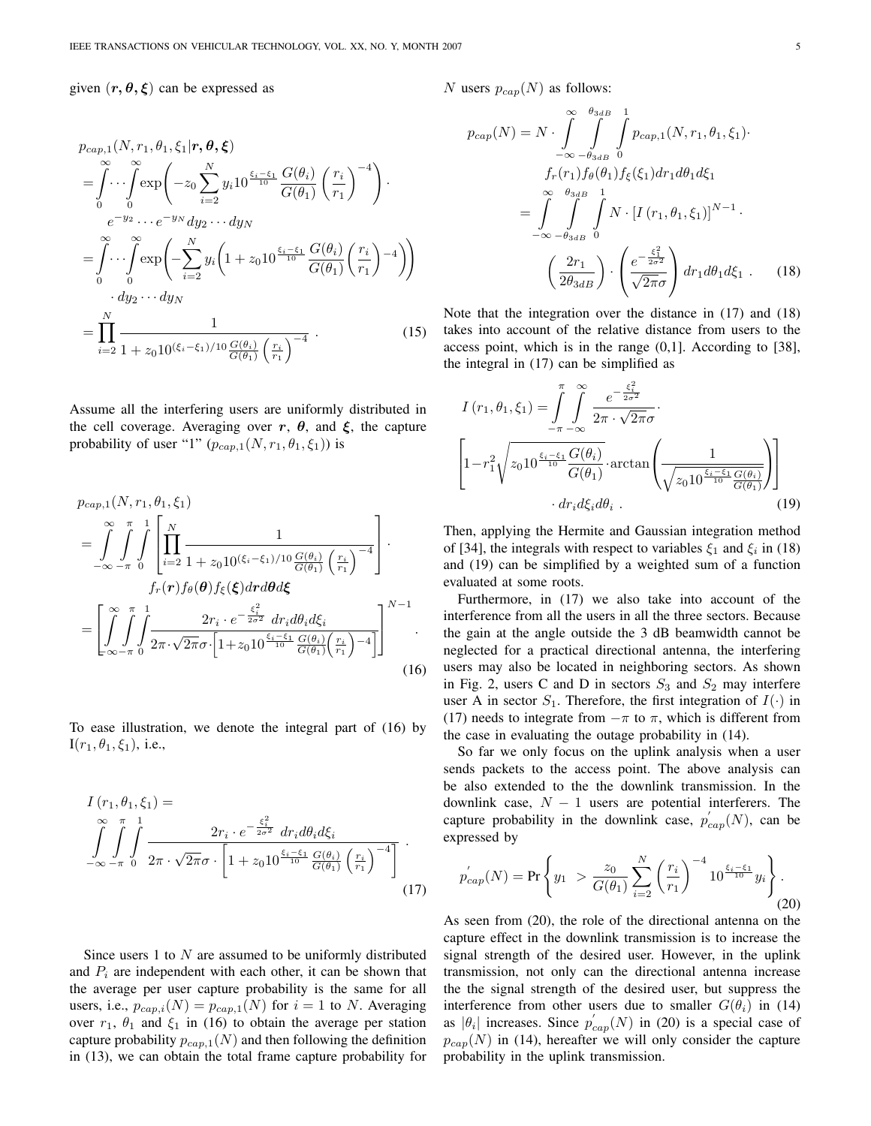given  $(r, \theta, \xi)$  can be expressed as

$$
p_{cap,1}(N,r_1,\theta_1,\xi_1|\mathbf{r},\boldsymbol{\theta},\boldsymbol{\xi})
$$
\n
$$
= \int_{0}^{\infty} \cdots \int_{0}^{\infty} \exp\left(-z_0 \sum_{i=2}^{N} y_i 10^{\frac{\xi_i-\xi_1}{10}} \frac{G(\theta_i)}{G(\theta_1)} \left(\frac{r_i}{r_1}\right)^{-4}\right) \cdot e^{-y_2} \cdots e^{-y_N} dy_2 \cdots dy_N
$$
\n
$$
= \int_{0}^{\infty} \cdots \int_{0}^{\infty} \exp\left(-\sum_{i=2}^{N} y_i \left(1 + z_0 10^{\frac{\xi_i-\xi_1}{10}} \frac{G(\theta_i)}{G(\theta_1)} \left(\frac{r_i}{r_1}\right)^{-4}\right)\right) \cdot dy_2 \cdots dy_N
$$
\n
$$
= \prod_{i=2}^{N} \frac{1}{1 + z_0 10^{(\xi_i-\xi_1)/10} \frac{G(\theta_i)}{G(\theta_1)} \left(\frac{r_i}{r_1}\right)^{-4}} \cdot (15)
$$

Assume all the interfering users are uniformly distributed in the cell coverage. Averaging over  $r$ ,  $\theta$ , and  $\xi$ , the capture probability of user "1"  $(p_{cap,1}(N, r_1, \theta_1, \xi_1))$  is

$$
p_{cap,1}(N,r_1,\theta_1,\xi_1)
$$
\n
$$
= \int_{-\infty}^{\infty} \int_{-\pi}^{\pi} \int_{0}^{1} \left[ \prod_{i=2}^{N} \frac{1}{1 + z_0 10^{(\xi_i - \xi_1)/10} \frac{G(\theta_i)}{G(\theta_1)} \left(\frac{r_i}{r_1}\right)^{-4}} \right] \cdot f_r(\mathbf{r}) f_{\theta}(\boldsymbol{\theta}) f_{\xi}(\xi) d\mathbf{r} d\boldsymbol{\theta} d\xi
$$
\n
$$
= \left[ \int_{-\infty}^{\infty} \int_{-\pi}^{\pi} \int_{0}^{1} \frac{2r_i \cdot e^{-\frac{\xi_i^2}{2\sigma^2}} d r_i d\theta_i d\xi_i}{2\pi \cdot \sqrt{2\pi} \sigma \cdot \left[1 + z_0 10^{\frac{\xi_i - \xi_1}{10}} \frac{G(\theta_i)}{G(\theta_1)} \left(\frac{r_i}{r_1}\right)^{-4} \right]} \right]^{N-1} .
$$
\n(16)

To ease illustration, we denote the integral part of (16) by  $I(r_1, \theta_1, \xi_1)$ , i.e.,

$$
I(r_1, \theta_1, \xi_1) = \int_{-\infty}^{\infty} \int_{-\pi}^{\pi} \int_{0}^{1} \frac{2r_i \cdot e^{-\frac{\xi_i^2}{2\sigma^2}} dr_i d\theta_i d\xi_i}{2\pi \cdot \sqrt{2\pi}\sigma \cdot \left[1 + z_0 10^{\frac{\xi_i - \xi_1}{10}} \frac{G(\theta_i)}{G(\theta_1)} \left(\frac{r_i}{r_1}\right)^{-4}\right]} \tag{17}
$$

Since users 1 to *N* are assumed to be uniformly distributed and  $P_i$  are independent with each other, it can be shown that the average per user capture probability is the same for all users, i.e.,  $p_{cap,i}(N) = p_{cap,1}(N)$  for  $i = 1$  to *N*. Averaging over  $r_1$ ,  $\theta_1$  and  $\xi_1$  in (16) to obtain the average per station capture probability  $p_{cap,1}(N)$  and then following the definition in (13), we can obtain the total frame capture probability for *N* users  $p_{cap}(N)$  as follows:

$$
p_{cap}(N) = N \cdot \int_{-\infty}^{\infty} \int_{-\theta_{3dB}}^{\theta_{3dB}} \int_{0}^{1} p_{cap,1}(N, r_1, \theta_1, \xi_1) \cdot
$$
  

$$
f_r(r_1) f_{\theta}(\theta_1) f_{\xi}(\xi_1) dr_1 d\theta_1 d\xi_1
$$
  

$$
= \int_{-\infty}^{\infty} \int_{-\theta_{3dB}}^{\theta_{3dB}} \int_{0}^{1} N \cdot [I(r_1, \theta_1, \xi_1)]^{N-1} \cdot
$$
  

$$
\left(\frac{2r_1}{2\theta_{3dB}}\right) \cdot \left(\frac{e^{-\frac{\xi_1^2}{2\sigma^2}}}{\sqrt{2\pi}\sigma}\right) dr_1 d\theta_1 d\xi_1 . \qquad (18)
$$

Note that the integration over the distance in (17) and (18) takes into account of the relative distance from users to the access point, which is in the range  $(0,1]$ . According to [38], the integral in (17) can be simplified as

$$
I(r_1, \theta_1, \xi_1) = \int_{-\pi}^{\pi} \int_{-\pi}^{\infty} \frac{e^{-\frac{\xi_i^2}{2\sigma^2}}}{2\pi \cdot \sqrt{2\pi}\sigma}.
$$

$$
\left[1 - r_1^2 \sqrt{z_0 10^{\frac{\xi_i - \xi_1}{10}} \frac{G(\theta_i)}{G(\theta_1)}} \cdot \arctan\left(\frac{1}{\sqrt{z_0 10^{\frac{\xi_i - \xi_1}{10}} \frac{G(\theta_i)}{G(\theta_1)}}}\right)\right]
$$

$$
\cdot dr_i d\xi_i d\theta_i.
$$
(19)

Then, applying the Hermite and Gaussian integration method of [34], the integrals with respect to variables  $\xi_1$  and  $\xi_i$  in (18) and (19) can be simplified by a weighted sum of a function evaluated at some roots.

Furthermore, in (17) we also take into account of the interference from all the users in all the three sectors. Because the gain at the angle outside the 3 dB beamwidth cannot be neglected for a practical directional antenna, the interfering users may also be located in neighboring sectors. As shown in Fig. 2, users C and D in sectors  $S_3$  and  $S_2$  may interfere user A in sector  $S_1$ . Therefore, the first integration of  $I(\cdot)$  in (17) needs to integrate from  $-\pi$  to  $\pi$ , which is different from the case in evaluating the outage probability in (14).

So far we only focus on the uplink analysis when a user sends packets to the access point. The above analysis can be also extended to the the downlink transmission. In the downlink case, *N −* 1 users are potential interferers. The capture probability in the downlink case,  $p'_{cap}(N)$ , can be expressed by

$$
p'_{cap}(N) = \Pr\left\{y_1 \ > \frac{z_0}{G(\theta_1)} \sum_{i=2}^N \left(\frac{r_i}{r_1}\right)^{-4} 10^{\frac{\xi_i - \xi_1}{10}} y_i\right\}.
$$
\n(20)

As seen from (20), the role of the directional antenna on the capture effect in the downlink transmission is to increase the signal strength of the desired user. However, in the uplink transmission, not only can the directional antenna increase the the signal strength of the desired user, but suppress the interference from other users due to smaller  $G(\theta_i)$  in (14) as  $|\theta_i|$  increases. Since  $p'_{cap}(N)$  in (20) is a special case of  $p_{cap}(N)$  in (14), hereafter we will only consider the capture probability in the uplink transmission.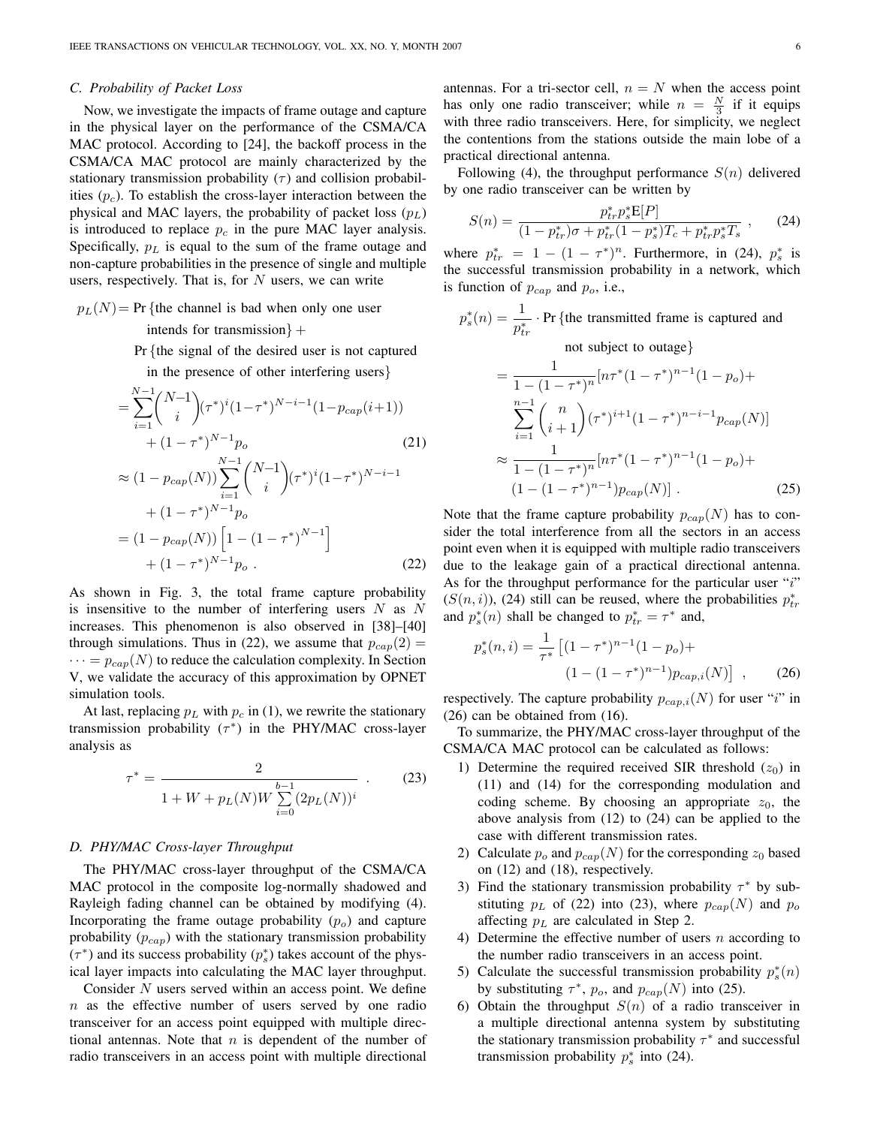#### *C. Probability of Packet Loss*

Now, we investigate the impacts of frame outage and capture in the physical layer on the performance of the CSMA/CA MAC protocol. According to [24], the backoff process in the CSMA/CA MAC protocol are mainly characterized by the stationary transmission probability  $(\tau)$  and collision probabilities (*pc*). To establish the cross-layer interaction between the physical and MAC layers, the probability of packet loss (*pL*) is introduced to replace  $p_c$  in the pure MAC layer analysis. Specifically, *p<sup>L</sup>* is equal to the sum of the frame outage and non-capture probabilities in the presence of single and multiple users, respectively. That is, for *N* users, we can write

 $p_L(N) = Pr$  {the channel is bad when only one user

intends for transmission*}* +

Pr *{*the signal of the desired user is not captured

in the presence of other interfering users*}*

$$
= \sum_{i=1}^{N-1} {N-1 \choose i} (\tau^*)^i (1-\tau^*)^{N-i-1} (1-p_{cap}(i+1))
$$
  
+  $(1-\tau^*)^{N-1} p_o$  (21)  

$$
\approx (1-p_{cap}(N)) \sum_{i=1}^{N-1} {N-1 \choose i} (\tau^*)^i (1-\tau^*)^{N-i-1}
$$
  
+  $(1-\tau^*)^{N-1} p_o$   
=  $(1-p_{cap}(N)) [1 - (1-\tau^*)^{N-1}]$   
+  $(1-\tau^*)^{N-1} p_o$  (22)

As shown in Fig. 3, the total frame capture probability is insensitive to the number of interfering users *N* as *N* increases. This phenomenon is also observed in [38]–[40] through simulations. Thus in (22), we assume that  $p_{cap}(2)$  =  $\cdots = p_{cap}(N)$  to reduce the calculation complexity. In Section V, we validate the accuracy of this approximation by OPNET simulation tools.

At last, replacing *p<sup>L</sup>* with *p<sup>c</sup>* in (1), we rewrite the stationary transmission probability (*τ ∗* ) in the PHY/MAC cross-layer analysis as

$$
\tau^* = \frac{2}{1 + W + p_L(N)W \sum_{i=0}^{b-1} (2p_L(N))^i} .
$$
 (23)

#### *D. PHY/MAC Cross-layer Throughput*

The PHY/MAC cross-layer throughput of the CSMA/CA MAC protocol in the composite log-normally shadowed and Rayleigh fading channel can be obtained by modifying (4). Incorporating the frame outage probability (*po*) and capture probability (*pcap*) with the stationary transmission probability (*τ ∗* ) and its success probability (*p ∗ s* ) takes account of the physical layer impacts into calculating the MAC layer throughput.

Consider *N* users served within an access point. We define *n* as the effective number of users served by one radio transceiver for an access point equipped with multiple directional antennas. Note that *n* is dependent of the number of radio transceivers in an access point with multiple directional

antennas. For a tri-sector cell,  $n = N$  when the access point has only one radio transceiver; while  $n = \frac{N}{3}$  if it equips with three radio transceivers. Here, for simplicity, we neglect the contentions from the stations outside the main lobe of a practical directional antenna.

Following (4), the throughput performance  $S(n)$  delivered by one radio transceiver can be written by

$$
S(n) = \frac{p_{tr}^* p_s^* \mathbf{E}[P]}{(1 - p_{tr}^*)\sigma + p_{tr}^* (1 - p_s^*) T_c + p_{tr}^* p_s^* T_s},\qquad(24)
$$

where  $p_{tr}^{*} = 1 - (1 - \tau^{*})^{n}$ . Furthermore, in (24),  $p_{s}^{*}$  is the successful transmission probability in a network, which is function of *pcap* and *po*, i.e.,

$$
p_s^*(n) = \frac{1}{p_{tr}^*} \cdot \Pr \{ \text{the transmitted frame is captured and} \text{not subject to outage} \}
$$
  
= 
$$
\frac{1}{1 - (1 - \tau^*)^n} [n\tau^*(1 - \tau^*)^{n-1}(1 - p_o) + \sum_{i=1}^{n-1} {n \choose i+1} (\tau^*)^{i+1} (1 - \tau^*)^{n-i-1} p_{cap}(N)]
$$
  

$$
\approx \frac{1}{1 - (1 - \tau^*)^n} [n\tau^*(1 - \tau^*)^{n-1}(1 - p_o) + (1 - (1 - \tau^*)^{n-1}) p_{cap}(N)] . \tag{25}
$$

Note that the frame capture probability  $p_{cap}(N)$  has to consider the total interference from all the sectors in an access point even when it is equipped with multiple radio transceivers due to the leakage gain of a practical directional antenna. As for the throughput performance for the particular user "*i*"  $(S(n, i))$ , (24) still can be reused, where the probabilities  $p_{tr}^*$ and  $p_s^*(n)$  shall be changed to  $p_{tr}^* = \tau^*$  and,

$$
p_s^*(n,i) = \frac{1}{\tau^*} \left[ (1 - \tau^*)^{n-1} (1 - p_o) + (1 - (1 - \tau^*)^{n-1}) p_{cap,i}(N) \right],
$$
 (26)

respectively. The capture probability  $p_{cap,i}(N)$  for user "*i*" in (26) can be obtained from (16).

To summarize, the PHY/MAC cross-layer throughput of the CSMA/CA MAC protocol can be calculated as follows:

- 1) Determine the required received SIR threshold  $(z_0)$  in (11) and (14) for the corresponding modulation and coding scheme. By choosing an appropriate  $z_0$ , the above analysis from (12) to (24) can be applied to the case with different transmission rates.
- 2) Calculate  $p_o$  and  $p_{cap}(N)$  for the corresponding  $z_0$  based on (12) and (18), respectively.
- 3) Find the stationary transmission probability *τ <sup>∗</sup>* by substituting  $p<sub>L</sub>$  of (22) into (23), where  $p<sub>cap</sub>(N)$  and  $p<sub>o</sub>$ affecting *p<sup>L</sup>* are calculated in Step 2.
- 4) Determine the effective number of users *n* according to the number radio transceivers in an access point.
- 5) Calculate the successful transmission probability  $p_s^*(n)$ by substituting  $\tau^*$ ,  $p_o$ , and  $p_{cap}(N)$  into (25).
- 6) Obtain the throughput *S*(*n*) of a radio transceiver in a multiple directional antenna system by substituting the stationary transmission probability *τ ∗* and successful transmission probability  $p_s^*$  into (24).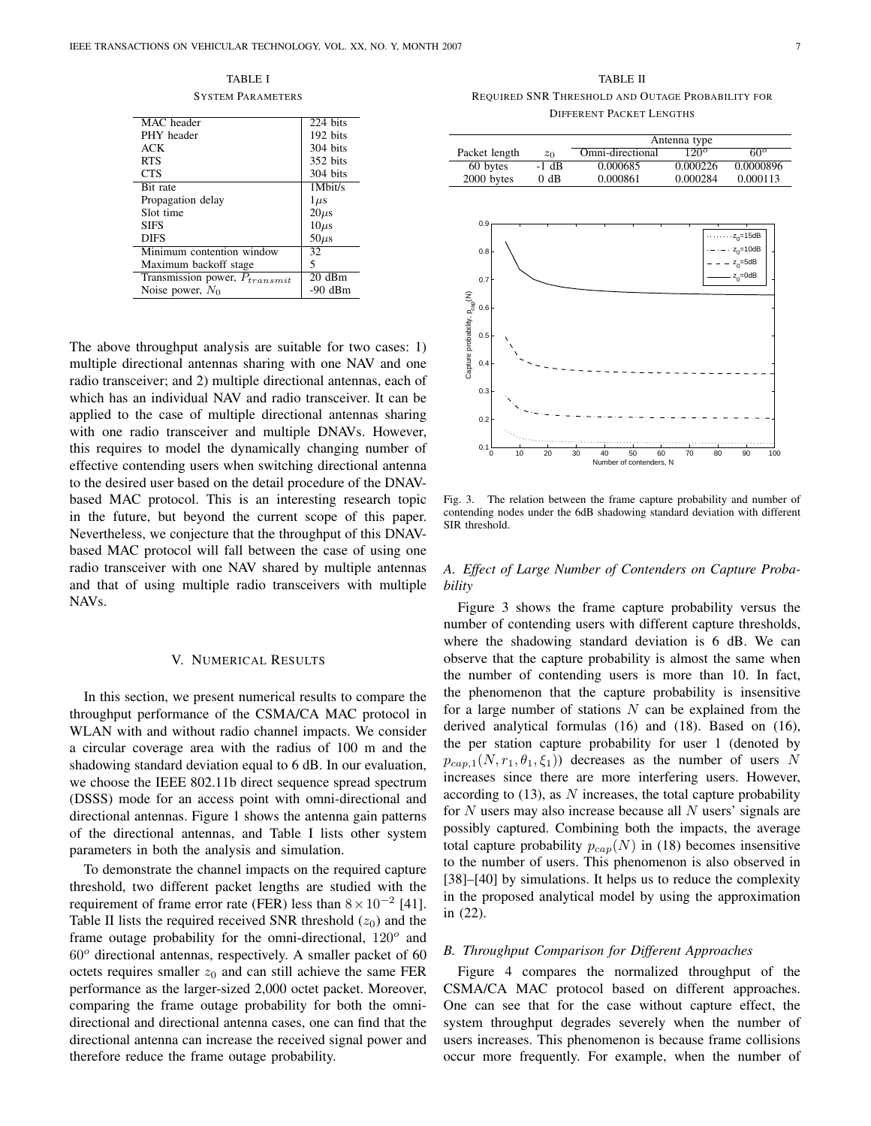TABLE I SYSTEM PARAMETERS

| MAC header                         | 224 bits  |
|------------------------------------|-----------|
| PHY header                         | 192 bits  |
| ACK                                | 304 bits  |
| <b>RTS</b>                         | 352 bits  |
| <b>CTS</b>                         | 304 bits  |
|                                    |           |
| Bit rate                           | 1Mbit/s   |
| Propagation delay                  | $1 \mu s$ |
| Slot time                          | $20\mu s$ |
| <b>SIFS</b>                        | $10\mu s$ |
| <b>DIFS</b>                        | $50\mu s$ |
| Minimum contention window          | 32        |
| Maximum backoff stage              | 5         |
| Transmission power, $P_{transmit}$ | 20dBm     |
| Noise power, $N_0$                 | $-90$ dBm |

The above throughput analysis are suitable for two cases: 1) multiple directional antennas sharing with one NAV and one radio transceiver; and 2) multiple directional antennas, each of which has an individual NAV and radio transceiver. It can be applied to the case of multiple directional antennas sharing with one radio transceiver and multiple DNAVs. However, this requires to model the dynamically changing number of effective contending users when switching directional antenna to the desired user based on the detail procedure of the DNAVbased MAC protocol. This is an interesting research topic in the future, but beyond the current scope of this paper. Nevertheless, we conjecture that the throughput of this DNAVbased MAC protocol will fall between the case of using one radio transceiver with one NAV shared by multiple antennas and that of using multiple radio transceivers with multiple NAVs.

#### V. NUMERICAL RESULTS

In this section, we present numerical results to compare the throughput performance of the CSMA/CA MAC protocol in WLAN with and without radio channel impacts. We consider a circular coverage area with the radius of 100 m and the shadowing standard deviation equal to 6 dB. In our evaluation, we choose the IEEE 802.11b direct sequence spread spectrum (DSSS) mode for an access point with omni-directional and directional antennas. Figure 1 shows the antenna gain patterns of the directional antennas, and Table I lists other system parameters in both the analysis and simulation.

To demonstrate the channel impacts on the required capture threshold, two different packet lengths are studied with the requirement of frame error rate (FER) less than 8*×*10*−*<sup>2</sup> [41]. Table II lists the required received SNR threshold  $(z_0)$  and the frame outage probability for the omni-directional, 120*<sup>o</sup>* and 60*<sup>o</sup>* directional antennas, respectively. A smaller packet of 60 octets requires smaller  $z_0$  and can still achieve the same FER performance as the larger-sized 2,000 octet packet. Moreover, comparing the frame outage probability for both the omnidirectional and directional antenna cases, one can find that the directional antenna can increase the received signal power and therefore reduce the frame outage probability.

TABLE II REQUIRED SNR THRESHOLD AND OUTAGE PROBABILITY FOR DIFFERENT PACKET LENGTHS

|                                                                                                          |  |         | Antenna type     |          |                                                          |  |  |
|----------------------------------------------------------------------------------------------------------|--|---------|------------------|----------|----------------------------------------------------------|--|--|
| Packet length                                                                                            |  | $z_0$   | Omni-directional | $120^o$  | $60^\circ$                                               |  |  |
| 60 bytes                                                                                                 |  | $-1$ dB | 0.000685         | 0.000226 | 0.0000896                                                |  |  |
| 2000 bytes                                                                                               |  | $0$ dB  | 0.000861         | 0.000284 | 0.000113                                                 |  |  |
| 0.9<br>0.8<br>0.7<br>Capture probability, P <sub>cap</sub> (N)<br>0.6<br>0.5<br>0.4<br>0.3<br>0.2<br>0.1 |  |         | 50               |          | $z_0$ =15dB<br>$z_0$ =10dB<br>$z_0$ =5dB<br>$z_0 = 0$ dB |  |  |
| 20<br>30<br>60<br>70<br>80<br>10<br>40<br>90<br>100<br>0<br>Number of contenders, N                      |  |         |                  |          |                                                          |  |  |
|                                                                                                          |  |         |                  |          |                                                          |  |  |

Fig. 3. The relation between the frame capture probability and number of contending nodes under the 6dB shadowing standard deviation with different SIR threshold.

*A. Effect of Large Number of Contenders on Capture Probability*

Figure 3 shows the frame capture probability versus the number of contending users with different capture thresholds, where the shadowing standard deviation is 6 dB. We can observe that the capture probability is almost the same when the number of contending users is more than 10. In fact, the phenomenon that the capture probability is insensitive for a large number of stations *N* can be explained from the derived analytical formulas (16) and (18). Based on (16), the per station capture probability for user 1 (denoted by  $p_{can,1}(N, r_1, \theta_1, \xi_1)$  decreases as the number of users *N* increases since there are more interfering users. However, according to (13), as *N* increases, the total capture probability for *N* users may also increase because all *N* users' signals are possibly captured. Combining both the impacts, the average total capture probability  $p_{cap}(N)$  in (18) becomes insensitive to the number of users. This phenomenon is also observed in [38]–[40] by simulations. It helps us to reduce the complexity in the proposed analytical model by using the approximation in (22).

#### *B. Throughput Comparison for Different Approaches*

Figure 4 compares the normalized throughput of the CSMA/CA MAC protocol based on different approaches. One can see that for the case without capture effect, the system throughput degrades severely when the number of users increases. This phenomenon is because frame collisions occur more frequently. For example, when the number of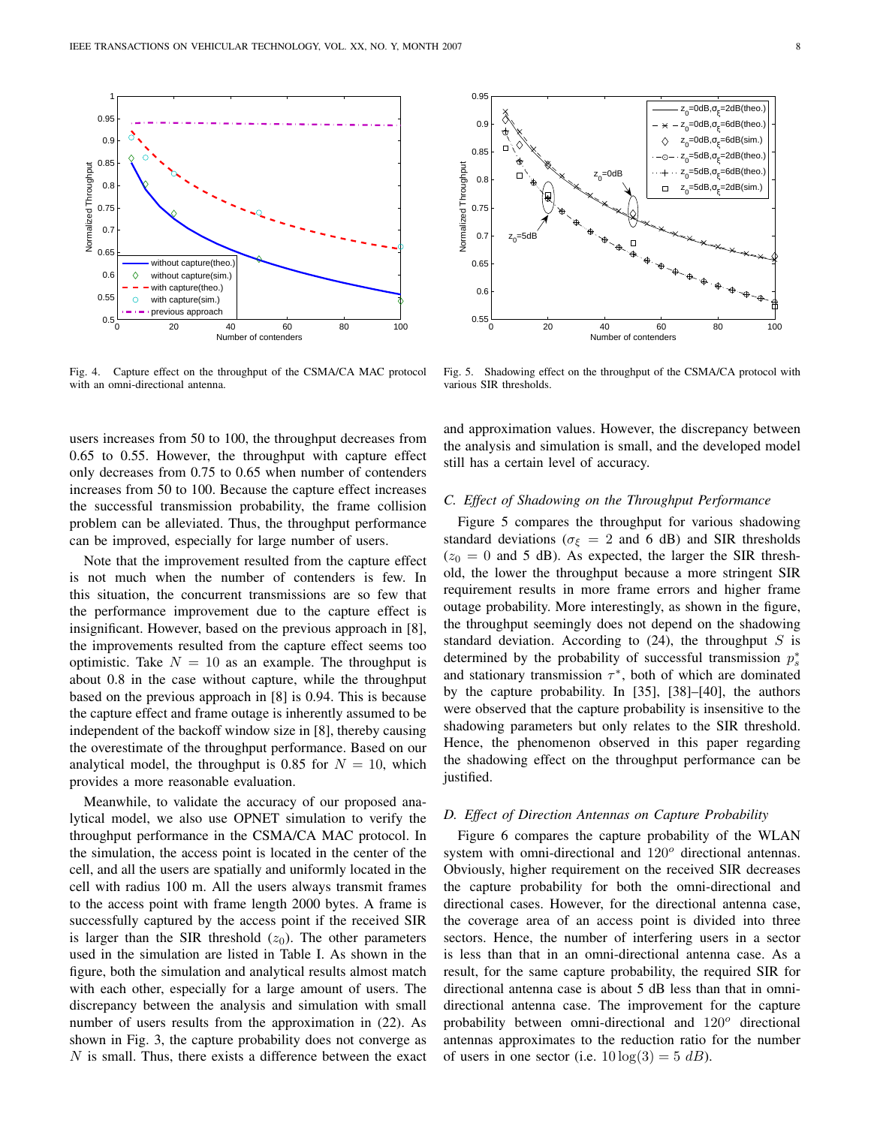

Fig. 4. Capture effect on the throughput of the CSMA/CA MAC protocol with an omni-directional antenna.

users increases from 50 to 100, the throughput decreases from 0.65 to 0.55. However, the throughput with capture effect only decreases from 0.75 to 0.65 when number of contenders increases from 50 to 100. Because the capture effect increases the successful transmission probability, the frame collision problem can be alleviated. Thus, the throughput performance can be improved, especially for large number of users.

Note that the improvement resulted from the capture effect is not much when the number of contenders is few. In this situation, the concurrent transmissions are so few that the performance improvement due to the capture effect is insignificant. However, based on the previous approach in [8], the improvements resulted from the capture effect seems too optimistic. Take  $N = 10$  as an example. The throughput is about 0.8 in the case without capture, while the throughput based on the previous approach in [8] is 0.94. This is because the capture effect and frame outage is inherently assumed to be independent of the backoff window size in [8], thereby causing the overestimate of the throughput performance. Based on our analytical model, the throughput is 0.85 for  $N = 10$ , which provides a more reasonable evaluation.

Meanwhile, to validate the accuracy of our proposed analytical model, we also use OPNET simulation to verify the throughput performance in the CSMA/CA MAC protocol. In the simulation, the access point is located in the center of the cell, and all the users are spatially and uniformly located in the cell with radius 100 m. All the users always transmit frames to the access point with frame length 2000 bytes. A frame is successfully captured by the access point if the received SIR is larger than the SIR threshold  $(z_0)$ . The other parameters used in the simulation are listed in Table I. As shown in the figure, both the simulation and analytical results almost match with each other, especially for a large amount of users. The discrepancy between the analysis and simulation with small number of users results from the approximation in (22). As shown in Fig. 3, the capture probability does not converge as *N* is small. Thus, there exists a difference between the exact



Fig. 5. Shadowing effect on the throughput of the CSMA/CA protocol with various SIR thresholds.

and approximation values. However, the discrepancy between the analysis and simulation is small, and the developed model still has a certain level of accuracy.

## *C. Effect of Shadowing on the Throughput Performance*

Figure 5 compares the throughput for various shadowing standard deviations ( $\sigma_{\xi} = 2$  and 6 dB) and SIR thresholds  $(z_0 = 0$  and 5 dB). As expected, the larger the SIR threshold, the lower the throughput because a more stringent SIR requirement results in more frame errors and higher frame outage probability. More interestingly, as shown in the figure, the throughput seemingly does not depend on the shadowing standard deviation. According to (24), the throughput *S* is determined by the probability of successful transmission *p ∗ s* and stationary transmission *τ ∗* , both of which are dominated by the capture probability. In [35], [38]–[40], the authors were observed that the capture probability is insensitive to the shadowing parameters but only relates to the SIR threshold. Hence, the phenomenon observed in this paper regarding the shadowing effect on the throughput performance can be justified.

# *D. Effect of Direction Antennas on Capture Probability*

Figure 6 compares the capture probability of the WLAN system with omni-directional and 120*<sup>o</sup>* directional antennas. Obviously, higher requirement on the received SIR decreases the capture probability for both the omni-directional and directional cases. However, for the directional antenna case, the coverage area of an access point is divided into three sectors. Hence, the number of interfering users in a sector is less than that in an omni-directional antenna case. As a result, for the same capture probability, the required SIR for directional antenna case is about 5 dB less than that in omnidirectional antenna case. The improvement for the capture probability between omni-directional and 120*<sup>o</sup>* directional antennas approximates to the reduction ratio for the number of users in one sector (i.e.  $10 \log(3) = 5 \, dB$ ).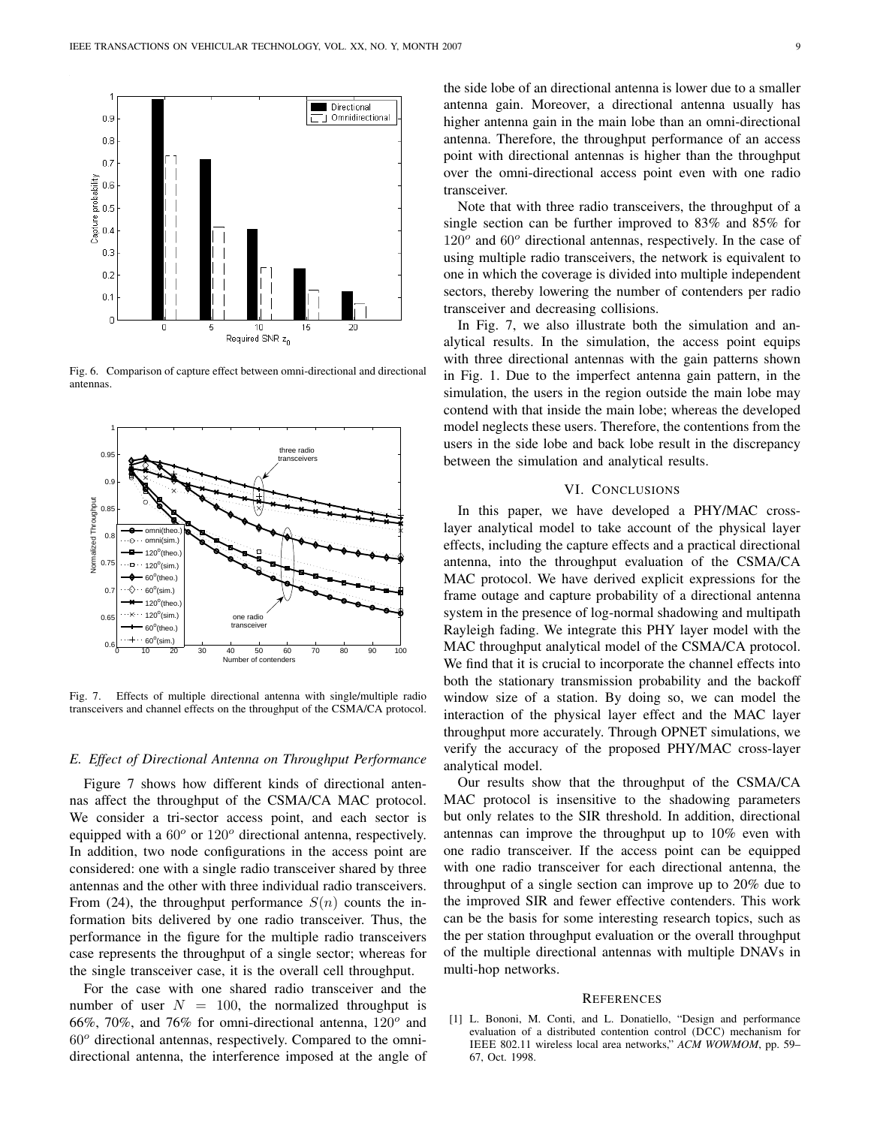

Fig. 6. Comparison of capture effect between omni-directional and directional antennas.



Fig. 7. Effects of multiple directional antenna with single/multiple radio transceivers and channel effects on the throughput of the CSMA/CA protocol.

# *E. Effect of Directional Antenna on Throughput Performance*

Figure 7 shows how different kinds of directional antennas affect the throughput of the CSMA/CA MAC protocol. We consider a tri-sector access point, and each sector is equipped with a 60*<sup>o</sup>* or 120*<sup>o</sup>* directional antenna, respectively. In addition, two node configurations in the access point are considered: one with a single radio transceiver shared by three antennas and the other with three individual radio transceivers. From (24), the throughput performance  $S(n)$  counts the information bits delivered by one radio transceiver. Thus, the performance in the figure for the multiple radio transceivers case represents the throughput of a single sector; whereas for the single transceiver case, it is the overall cell throughput.

For the case with one shared radio transceiver and the number of user  $N = 100$ , the normalized throughput is 66%, 70%, and 76% for omni-directional antenna, 120*<sup>o</sup>* and 60*<sup>o</sup>* directional antennas, respectively. Compared to the omnidirectional antenna, the interference imposed at the angle of the side lobe of an directional antenna is lower due to a smaller antenna gain. Moreover, a directional antenna usually has higher antenna gain in the main lobe than an omni-directional antenna. Therefore, the throughput performance of an access point with directional antennas is higher than the throughput over the omni-directional access point even with one radio transceiver.

Note that with three radio transceivers, the throughput of a single section can be further improved to 83% and 85% for 120<sup>o</sup> and 60<sup>o</sup> directional antennas, respectively. In the case of using multiple radio transceivers, the network is equivalent to one in which the coverage is divided into multiple independent sectors, thereby lowering the number of contenders per radio transceiver and decreasing collisions.

In Fig. 7, we also illustrate both the simulation and analytical results. In the simulation, the access point equips with three directional antennas with the gain patterns shown in Fig. 1. Due to the imperfect antenna gain pattern, in the simulation, the users in the region outside the main lobe may contend with that inside the main lobe; whereas the developed model neglects these users. Therefore, the contentions from the users in the side lobe and back lobe result in the discrepancy between the simulation and analytical results.

## VI. CONCLUSIONS

In this paper, we have developed a PHY/MAC crosslayer analytical model to take account of the physical layer effects, including the capture effects and a practical directional antenna, into the throughput evaluation of the CSMA/CA MAC protocol. We have derived explicit expressions for the frame outage and capture probability of a directional antenna system in the presence of log-normal shadowing and multipath Rayleigh fading. We integrate this PHY layer model with the MAC throughput analytical model of the CSMA/CA protocol. We find that it is crucial to incorporate the channel effects into both the stationary transmission probability and the backoff window size of a station. By doing so, we can model the interaction of the physical layer effect and the MAC layer throughput more accurately. Through OPNET simulations, we verify the accuracy of the proposed PHY/MAC cross-layer analytical model.

Our results show that the throughput of the CSMA/CA MAC protocol is insensitive to the shadowing parameters but only relates to the SIR threshold. In addition, directional antennas can improve the throughput up to 10% even with one radio transceiver. If the access point can be equipped with one radio transceiver for each directional antenna, the throughput of a single section can improve up to 20% due to the improved SIR and fewer effective contenders. This work can be the basis for some interesting research topics, such as the per station throughput evaluation or the overall throughput of the multiple directional antennas with multiple DNAVs in multi-hop networks.

#### **REFERENCES**

[1] L. Bononi, M. Conti, and L. Donatiello, "Design and performance evaluation of a distributed contention control (DCC) mechanism for IEEE 802.11 wireless local area networks," *ACM WOWMOM*, pp. 59– 67, Oct. 1998.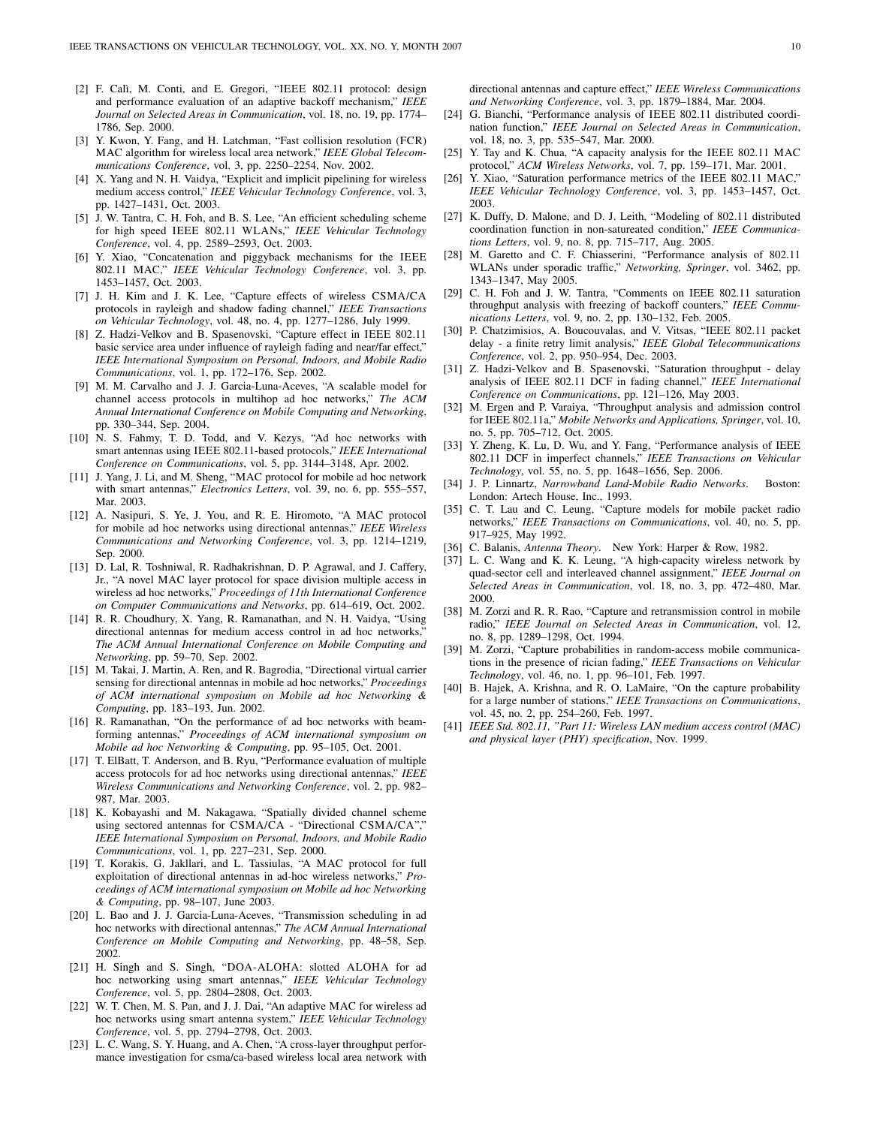- [2] F. Calì, M. Conti, and E. Gregori, "IEEE 802.11 protocol: design and performance evaluation of an adaptive backoff mechanism," *IEEE Journal on Selected Areas in Communication*, vol. 18, no. 19, pp. 1774– 1786, Sep. 2000.
- [3] Y. Kwon, Y. Fang, and H. Latchman, "Fast collision resolution (FCR) MAC algorithm for wireless local area network," *IEEE Global Telecommunications Conference*, vol. 3, pp. 2250–2254, Nov. 2002.
- [4] X. Yang and N. H. Vaidya, "Explicit and implicit pipelining for wireless medium access control," *IEEE Vehicular Technology Conference*, vol. 3, pp. 1427–1431, Oct. 2003.
- [5] J. W. Tantra, C. H. Foh, and B. S. Lee, "An efficient scheduling scheme for high speed IEEE 802.11 WLANs," *IEEE Vehicular Technology Conference*, vol. 4, pp. 2589–2593, Oct. 2003.
- [6] Y. Xiao, "Concatenation and piggyback mechanisms for the IEEE 802.11 MAC," *IEEE Vehicular Technology Conference*, vol. 3, pp. 1453–1457, Oct. 2003.
- [7] J. H. Kim and J. K. Lee, "Capture effects of wireless CSMA/CA protocols in rayleigh and shadow fading channel," *IEEE Transactions on Vehicular Technology*, vol. 48, no. 4, pp. 1277–1286, July 1999.
- [8] Z. Hadzi-Velkov and B. Spasenovski, "Capture effect in IEEE 802.11 basic service area under influence of rayleigh fading and near/far effect," *IEEE International Symposium on Personal, Indoors, and Mobile Radio Communications*, vol. 1, pp. 172–176, Sep. 2002.
- [9] M. M. Carvalho and J. J. Garcia-Luna-Aceves, "A scalable model for channel access protocols in multihop ad hoc networks," *The ACM Annual International Conference on Mobile Computing and Networking*, pp. 330–344, Sep. 2004.
- [10] N. S. Fahmy, T. D. Todd, and V. Kezys, "Ad hoc networks with smart antennas using IEEE 802.11-based protocols," *IEEE International Conference on Communications*, vol. 5, pp. 3144–3148, Apr. 2002.
- [11] J. Yang, J. Li, and M. Sheng, "MAC protocol for mobile ad hoc network with smart antennas," *Electronics Letters*, vol. 39, no. 6, pp. 555–557, Mar. 2003.
- [12] A. Nasipuri, S. Ye, J. You, and R. E. Hiromoto, "A MAC protocol for mobile ad hoc networks using directional antennas," *IEEE Wireless Communications and Networking Conference*, vol. 3, pp. 1214–1219, Sep. 2000.
- [13] D. Lal, R. Toshniwal, R. Radhakrishnan, D. P. Agrawal, and J. Caffery, Jr., "A novel MAC layer protocol for space division multiple access in wireless ad hoc networks," *Proceedings of 11th International Conference on Computer Communications and Networks*, pp. 614–619, Oct. 2002.
- [14] R. R. Choudhury, X. Yang, R. Ramanathan, and N. H. Vaidya, "Using directional antennas for medium access control in ad hoc networks, *The ACM Annual International Conference on Mobile Computing and Networking*, pp. 59–70, Sep. 2002.
- [15] M. Takai, J. Martin, A. Ren, and R. Bagrodia, "Directional virtual carrier sensing for directional antennas in mobile ad hoc networks," *Proceedings of ACM international symposium on Mobile ad hoc Networking & Computing*, pp. 183–193, Jun. 2002.
- [16] R. Ramanathan, "On the performance of ad hoc networks with beamforming antennas," *Proceedings of ACM international symposium on Mobile ad hoc Networking & Computing*, pp. 95–105, Oct. 2001.
- [17] T. ElBatt, T. Anderson, and B. Ryu, "Performance evaluation of multiple access protocols for ad hoc networks using directional antennas," *IEEE Wireless Communications and Networking Conference*, vol. 2, pp. 982– 987, Mar. 2003.
- [18] K. Kobayashi and M. Nakagawa, "Spatially divided channel scheme using sectored antennas for CSMA/CA - "Directional CSMA/CA" *IEEE International Symposium on Personal, Indoors, and Mobile Radio Communications*, vol. 1, pp. 227–231, Sep. 2000.
- [19] T. Korakis, G. Jakllari, and L. Tassiulas, "A MAC protocol for full exploitation of directional antennas in ad-hoc wireless networks," *Proceedings of ACM international symposium on Mobile ad hoc Networking & Computing*, pp. 98–107, June 2003.
- [20] L. Bao and J. J. Garcia-Luna-Aceves, "Transmission scheduling in ad hoc networks with directional antennas," *The ACM Annual International Conference on Mobile Computing and Networking*, pp. 48–58, Sep. 2002.
- [21] H. Singh and S. Singh, "DOA-ALOHA: slotted ALOHA for ad hoc networking using smart antennas," *IEEE Vehicular Technology Conference*, vol. 5, pp. 2804–2808, Oct. 2003.
- [22] W. T. Chen, M. S. Pan, and J. J. Dai, "An adaptive MAC for wireless ad hoc networks using smart antenna system," *IEEE Vehicular Technology Conference*, vol. 5, pp. 2794–2798, Oct. 2003.
- [23] L. C. Wang, S. Y. Huang, and A. Chen, "A cross-layer throughput performance investigation for csma/ca-based wireless local area network with

directional antennas and capture effect," *IEEE Wireless Communications and Networking Conference*, vol. 3, pp. 1879–1884, Mar. 2004.

- [24] G. Bianchi, "Performance analysis of IEEE 802.11 distributed coordination function," *IEEE Journal on Selected Areas in Communication*, vol. 18, no. 3, pp. 535–547, Mar. 2000.
- [25] Y. Tay and K. Chua, "A capacity analysis for the IEEE 802.11 MAC protocol," *ACM Wireless Networks*, vol. 7, pp. 159–171, Mar. 2001.
- [26] Y. Xiao, "Saturation performance metrics of the IEEE 802.11 MAC," *IEEE Vehicular Technology Conference*, vol. 3, pp. 1453–1457, Oct. 2003.
- [27] K. Duffy, D. Malone, and D. J. Leith, "Modeling of 802.11 distributed coordination function in non-satureated condition," *IEEE Communications Letters*, vol. 9, no. 8, pp. 715–717, Aug. 2005.
- [28] M. Garetto and C. F. Chiasserini, "Performance analysis of 802.11 WLANs under sporadic traffic," *Networking, Springer*, vol. 3462, pp. 1343–1347, May 2005.
- [29] C. H. Foh and J. W. Tantra, "Comments on IEEE 802.11 saturation throughput analysis with freezing of backoff counters," *IEEE Communications Letters*, vol. 9, no. 2, pp. 130–132, Feb. 2005.
- [30] P. Chatzimisios, A. Boucouvalas, and V. Vitsas, "IEEE 802.11 packet delay - a finite retry limit analysis," *IEEE Global Telecommunications Conference*, vol. 2, pp. 950–954, Dec. 2003.
- [31] Z. Hadzi-Velkov and B. Spasenovski, "Saturation throughput delay analysis of IEEE 802.11 DCF in fading channel," *IEEE International Conference on Communications*, pp. 121–126, May 2003.
- [32] M. Ergen and P. Varaiya, "Throughput analysis and admission control for IEEE 802.11a," *Mobile Networks and Applications, Springer*, vol. 10, no. 5, pp. 705–712, Oct. 2005.
- [33] Y. Zheng, K. Lu, D. Wu, and Y. Fang, "Performance analysis of IEEE 802.11 DCF in imperfect channels," *IEEE Transactions on Vehicular Technology*, vol. 55, no. 5, pp. 1648–1656, Sep. 2006.
- [34] J. P. Linnartz, *Narrowband Land-Mobile Radio Networks*. Boston: London: Artech House, Inc., 1993.
- [35] C. T. Lau and C. Leung, "Capture models for mobile packet radio networks," *IEEE Transactions on Communications*, vol. 40, no. 5, pp. 917–925, May 1992.
- [36] C. Balanis, *Antenna Theory*. New York: Harper & Row, 1982.
- [37] L. C. Wang and K. K. Leung, "A high-capacity wireless network by quad-sector cell and interleaved channel assignment," *IEEE Journal on Selected Areas in Communication*, vol. 18, no. 3, pp. 472–480, Mar. 2000.
- [38] M. Zorzi and R. R. Rao, "Capture and retransmission control in mobile radio," *IEEE Journal on Selected Areas in Communication*, vol. 12, no. 8, pp. 1289–1298, Oct. 1994.
- [39] M. Zorzi, "Capture probabilities in random-access mobile communications in the presence of rician fading," *IEEE Transactions on Vehicular Technology*, vol. 46, no. 1, pp. 96–101, Feb. 1997.
- [40] B. Hajek, A. Krishna, and R. O. LaMaire, "On the capture probability for a large number of stations," *IEEE Transactions on Communications*, vol. 45, no. 2, pp. 254–260, Feb. 1997.
- [41] *IEEE Std. 802.11, "Part 11: Wireless LAN medium access control (MAC) and physical layer (PHY) specification*, Nov. 1999.